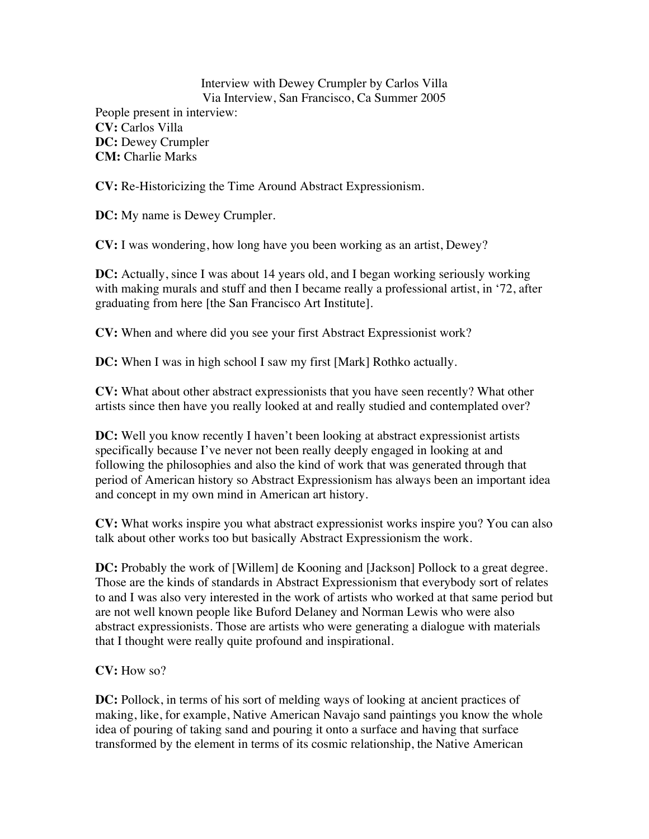Interview with Dewey Crumpler by Carlos Villa Via Interview, San Francisco, Ca Summer 2005 People present in interview: **CV:** Carlos Villa **DC:** Dewey Crumpler **CM:** Charlie Marks

**CV:** Re-Historicizing the Time Around Abstract Expressionism.

**DC:** My name is Dewey Crumpler.

**CV:** I was wondering, how long have you been working as an artist, Dewey?

**DC:** Actually, since I was about 14 years old, and I began working seriously working with making murals and stuff and then I became really a professional artist, in '72, after graduating from here [the San Francisco Art Institute].

**CV:** When and where did you see your first Abstract Expressionist work?

**DC:** When I was in high school I saw my first [Mark] Rothko actually.

**CV:** What about other abstract expressionists that you have seen recently? What other artists since then have you really looked at and really studied and contemplated over?

**DC:** Well you know recently I haven't been looking at abstract expressionist artists specifically because I've never not been really deeply engaged in looking at and following the philosophies and also the kind of work that was generated through that period of American history so Abstract Expressionism has always been an important idea and concept in my own mind in American art history.

**CV:** What works inspire you what abstract expressionist works inspire you? You can also talk about other works too but basically Abstract Expressionism the work.

**DC:** Probably the work of [Willem] de Kooning and [Jackson] Pollock to a great degree. Those are the kinds of standards in Abstract Expressionism that everybody sort of relates to and I was also very interested in the work of artists who worked at that same period but are not well known people like Buford Delaney and Norman Lewis who were also abstract expressionists. Those are artists who were generating a dialogue with materials that I thought were really quite profound and inspirational.

**CV:** How so?

**DC:** Pollock, in terms of his sort of melding ways of looking at ancient practices of making, like, for example, Native American Navajo sand paintings you know the whole idea of pouring of taking sand and pouring it onto a surface and having that surface transformed by the element in terms of its cosmic relationship, the Native American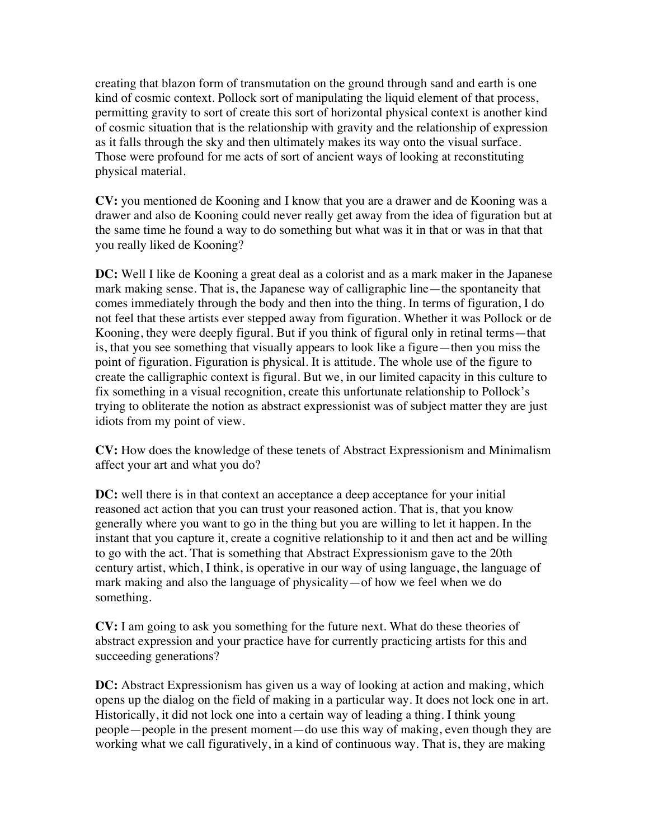creating that blazon form of transmutation on the ground through sand and earth is one kind of cosmic context. Pollock sort of manipulating the liquid element of that process, permitting gravity to sort of create this sort of horizontal physical context is another kind of cosmic situation that is the relationship with gravity and the relationship of expression as it falls through the sky and then ultimately makes its way onto the visual surface. Those were profound for me acts of sort of ancient ways of looking at reconstituting physical material.

**CV:** you mentioned de Kooning and I know that you are a drawer and de Kooning was a drawer and also de Kooning could never really get away from the idea of figuration but at the same time he found a way to do something but what was it in that or was in that that you really liked de Kooning?

**DC:** Well I like de Kooning a great deal as a colorist and as a mark maker in the Japanese mark making sense. That is, the Japanese way of calligraphic line—the spontaneity that comes immediately through the body and then into the thing. In terms of figuration, I do not feel that these artists ever stepped away from figuration. Whether it was Pollock or de Kooning, they were deeply figural. But if you think of figural only in retinal terms—that is, that you see something that visually appears to look like a figure—then you miss the point of figuration. Figuration is physical. It is attitude. The whole use of the figure to create the calligraphic context is figural. But we, in our limited capacity in this culture to fix something in a visual recognition, create this unfortunate relationship to Pollock's trying to obliterate the notion as abstract expressionist was of subject matter they are just idiots from my point of view.

**CV:** How does the knowledge of these tenets of Abstract Expressionism and Minimalism affect your art and what you do?

**DC:** well there is in that context an acceptance a deep acceptance for your initial reasoned act action that you can trust your reasoned action. That is, that you know generally where you want to go in the thing but you are willing to let it happen. In the instant that you capture it, create a cognitive relationship to it and then act and be willing to go with the act. That is something that Abstract Expressionism gave to the 20th century artist, which, I think, is operative in our way of using language, the language of mark making and also the language of physicality—of how we feel when we do something.

**CV:** I am going to ask you something for the future next. What do these theories of abstract expression and your practice have for currently practicing artists for this and succeeding generations?

**DC:** Abstract Expressionism has given us a way of looking at action and making, which opens up the dialog on the field of making in a particular way. It does not lock one in art. Historically, it did not lock one into a certain way of leading a thing. I think young people—people in the present moment—do use this way of making, even though they are working what we call figuratively, in a kind of continuous way. That is, they are making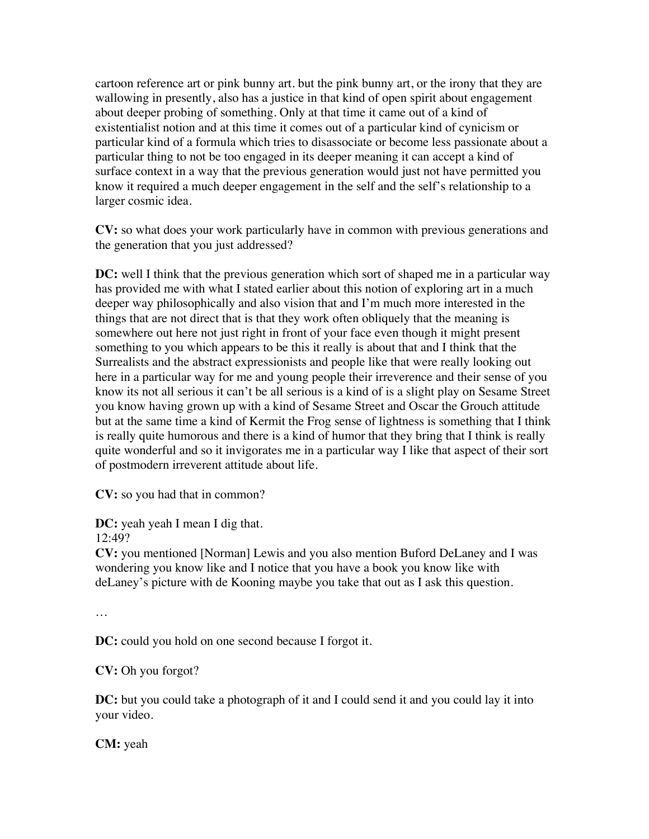cartoon reference art or pink bunny art. but the pink bunny art, or the irony that they are wallowing in presently, also has a justice in that kind of open spirit about engagement about deeper probing of something. Only at that time it came out of a kind of existentialist notion and at this time it comes out of a particular kind of cynicism or particular kind of a formula which tries to disassociate or become less passionate about a particular thing to not be too engaged in its deeper meaning it can accept a kind of surface context in a way that the previous generation would just not have permitted you know it required a much deeper engagement in the self and the self's relationship to a larger cosmic idea.

**CV:** so what does your work particularly have in common with previous generations and the generation that you just addressed?

**DC:** well I think that the previous generation which sort of shaped me in a particular way has provided me with what I stated earlier about this notion of exploring art in a much deeper way philosophically and also vision that and I'm much more interested in the things that are not direct that is that they work often obliquely that the meaning is somewhere out here not just right in front of your face even though it might present something to you which appears to be this it really is about that and I think that the Surrealists and the abstract expressionists and people like that were really looking out here in a particular way for me and young people their irreverence and their sense of you know its not all serious it can't be all serious is a kind of is a slight play on Sesame Street you know having grown up with a kind of Sesame Street and Oscar the Grouch attitude but at the same time a kind of Kermit the Frog sense of lightness is something that I think is really quite humorous and there is a kind of humor that they bring that I think is really quite wonderful and so it invigorates me in a particular way I like that aspect of their sort of postmodern irreverent attitude about life.

**CV:** so you had that in common?

**DC:** yeah yeah I mean I dig that.

12:49?

**CV:** you mentioned [Norman] Lewis and you also mention Buford DeLaney and I was wondering you know like and I notice that you have a book you know like with deLaney's picture with de Kooning maybe you take that out as I ask this question.

…

**DC:** could you hold on one second because I forgot it.

**CV:** Oh you forgot?

**DC:** but you could take a photograph of it and I could send it and you could lay it into your video.

**CM:** yeah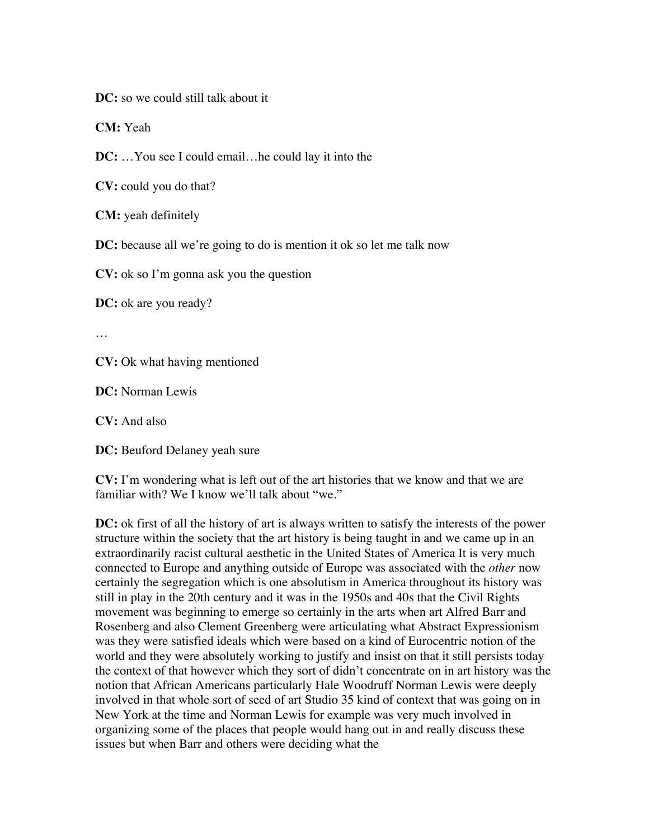**DC:** so we could still talk about it

**CM:** Yeah

**DC:** …You see I could email…he could lay it into the

**CV:** could you do that?

**CM:** yeah definitely

**DC:** because all we're going to do is mention it ok so let me talk now

**CV:** ok so I'm gonna ask you the question

**DC:** ok are you ready?

…

**CV:** Ok what having mentioned

**DC:** Norman Lewis

**CV:** And also

**DC:** Beuford Delaney yeah sure

**CV:** I'm wondering what is left out of the art histories that we know and that we are familiar with? We I know we'll talk about "we."

**DC:** ok first of all the history of art is always written to satisfy the interests of the power structure within the society that the art history is being taught in and we came up in an extraordinarily racist cultural aesthetic in the United States of America It is very much connected to Europe and anything outside of Europe was associated with the *other* now certainly the segregation which is one absolutism in America throughout its history was still in play in the 20th century and it was in the 1950s and 40s that the Civil Rights movement was beginning to emerge so certainly in the arts when art Alfred Barr and Rosenberg and also Clement Greenberg were articulating what Abstract Expressionism was they were satisfied ideals which were based on a kind of Eurocentric notion of the world and they were absolutely working to justify and insist on that it still persists today the context of that however which they sort of didn't concentrate on in art history was the notion that African Americans particularly Hale Woodruff Norman Lewis were deeply involved in that whole sort of seed of art Studio 35 kind of context that was going on in New York at the time and Norman Lewis for example was very much involved in organizing some of the places that people would hang out in and really discuss these issues but when Barr and others were deciding what the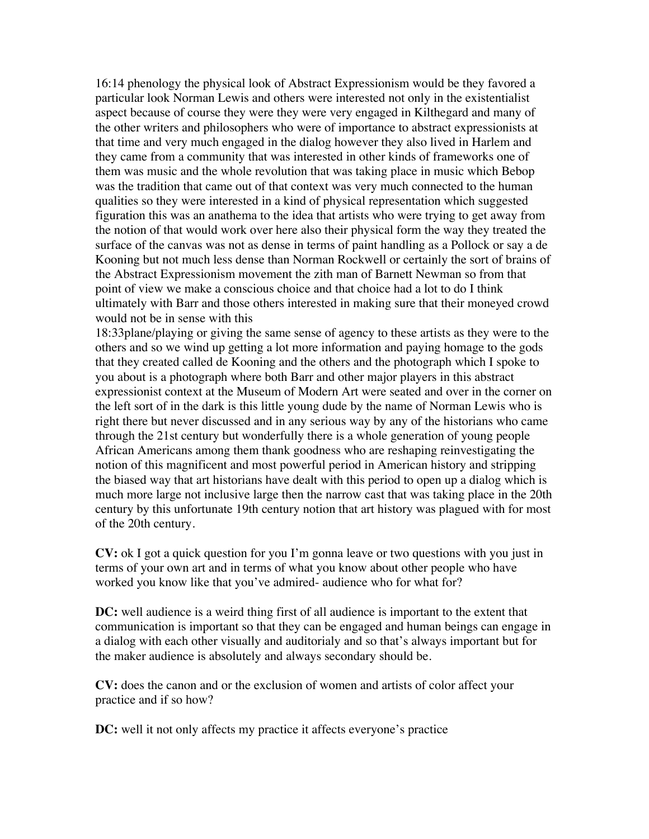16:14 phenology the physical look of Abstract Expressionism would be they favored a particular look Norman Lewis and others were interested not only in the existentialist aspect because of course they were they were very engaged in Kilthegard and many of the other writers and philosophers who were of importance to abstract expressionists at that time and very much engaged in the dialog however they also lived in Harlem and they came from a community that was interested in other kinds of frameworks one of them was music and the whole revolution that was taking place in music which Bebop was the tradition that came out of that context was very much connected to the human qualities so they were interested in a kind of physical representation which suggested figuration this was an anathema to the idea that artists who were trying to get away from the notion of that would work over here also their physical form the way they treated the surface of the canvas was not as dense in terms of paint handling as a Pollock or say a de Kooning but not much less dense than Norman Rockwell or certainly the sort of brains of the Abstract Expressionism movement the zith man of Barnett Newman so from that point of view we make a conscious choice and that choice had a lot to do I think ultimately with Barr and those others interested in making sure that their moneyed crowd would not be in sense with this

18:33plane/playing or giving the same sense of agency to these artists as they were to the others and so we wind up getting a lot more information and paying homage to the gods that they created called de Kooning and the others and the photograph which I spoke to you about is a photograph where both Barr and other major players in this abstract expressionist context at the Museum of Modern Art were seated and over in the corner on the left sort of in the dark is this little young dude by the name of Norman Lewis who is right there but never discussed and in any serious way by any of the historians who came through the 21st century but wonderfully there is a whole generation of young people African Americans among them thank goodness who are reshaping reinvestigating the notion of this magnificent and most powerful period in American history and stripping the biased way that art historians have dealt with this period to open up a dialog which is much more large not inclusive large then the narrow cast that was taking place in the 20th century by this unfortunate 19th century notion that art history was plagued with for most of the 20th century.

**CV:** ok I got a quick question for you I'm gonna leave or two questions with you just in terms of your own art and in terms of what you know about other people who have worked you know like that you've admired- audience who for what for?

**DC:** well audience is a weird thing first of all audience is important to the extent that communication is important so that they can be engaged and human beings can engage in a dialog with each other visually and auditorialy and so that's always important but for the maker audience is absolutely and always secondary should be.

**CV:** does the canon and or the exclusion of women and artists of color affect your practice and if so how?

**DC:** well it not only affects my practice it affects everyone's practice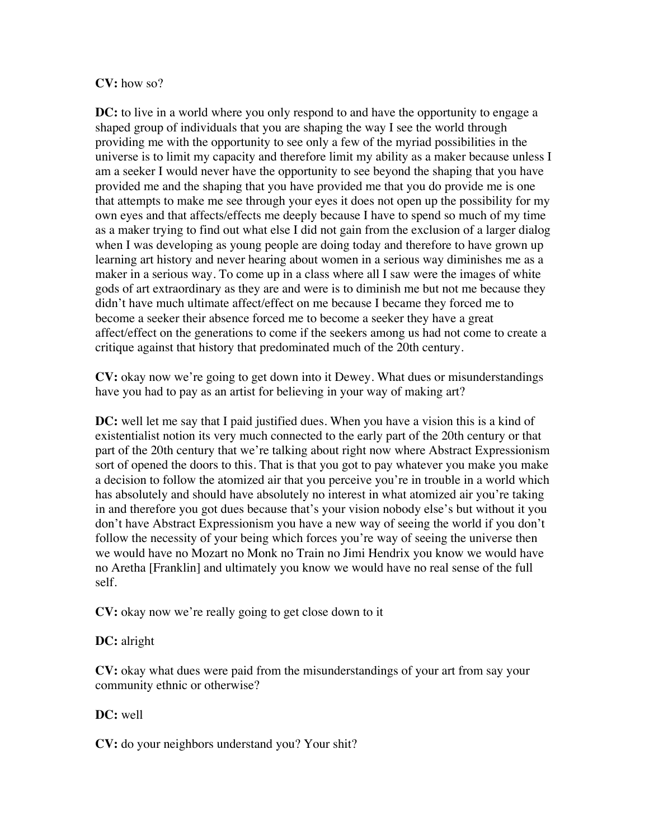## **CV:** how so?

**DC:** to live in a world where you only respond to and have the opportunity to engage a shaped group of individuals that you are shaping the way I see the world through providing me with the opportunity to see only a few of the myriad possibilities in the universe is to limit my capacity and therefore limit my ability as a maker because unless I am a seeker I would never have the opportunity to see beyond the shaping that you have provided me and the shaping that you have provided me that you do provide me is one that attempts to make me see through your eyes it does not open up the possibility for my own eyes and that affects/effects me deeply because I have to spend so much of my time as a maker trying to find out what else I did not gain from the exclusion of a larger dialog when I was developing as young people are doing today and therefore to have grown up learning art history and never hearing about women in a serious way diminishes me as a maker in a serious way. To come up in a class where all I saw were the images of white gods of art extraordinary as they are and were is to diminish me but not me because they didn't have much ultimate affect/effect on me because I became they forced me to become a seeker their absence forced me to become a seeker they have a great affect/effect on the generations to come if the seekers among us had not come to create a critique against that history that predominated much of the 20th century.

**CV:** okay now we're going to get down into it Dewey. What dues or misunderstandings have you had to pay as an artist for believing in your way of making art?

**DC:** well let me say that I paid justified dues. When you have a vision this is a kind of existentialist notion its very much connected to the early part of the 20th century or that part of the 20th century that we're talking about right now where Abstract Expressionism sort of opened the doors to this. That is that you got to pay whatever you make you make a decision to follow the atomized air that you perceive you're in trouble in a world which has absolutely and should have absolutely no interest in what atomized air you're taking in and therefore you got dues because that's your vision nobody else's but without it you don't have Abstract Expressionism you have a new way of seeing the world if you don't follow the necessity of your being which forces you're way of seeing the universe then we would have no Mozart no Monk no Train no Jimi Hendrix you know we would have no Aretha [Franklin] and ultimately you know we would have no real sense of the full self.

**CV:** okay now we're really going to get close down to it

## **DC:** alright

**CV:** okay what dues were paid from the misunderstandings of your art from say your community ethnic or otherwise?

## **DC:** well

**CV:** do your neighbors understand you? Your shit?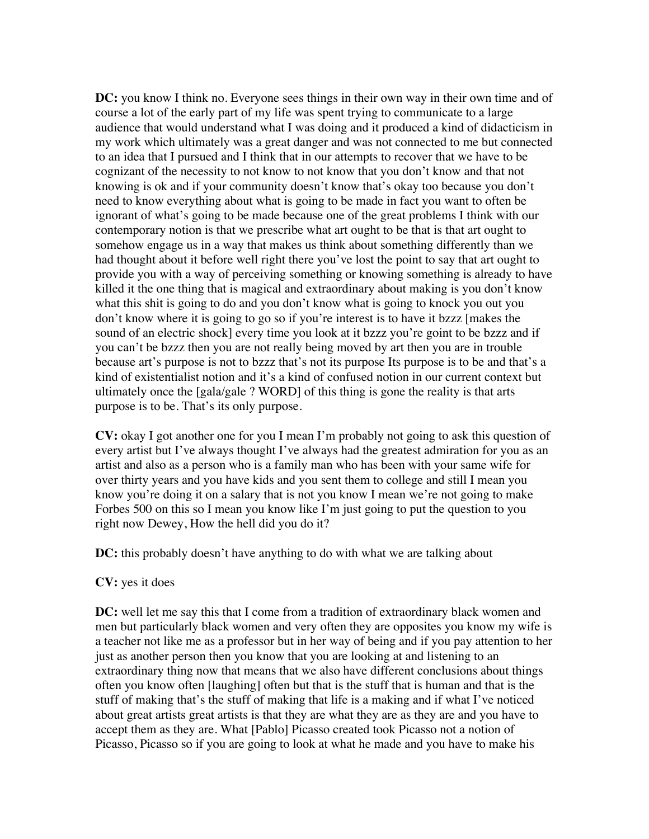**DC:** you know I think no. Everyone sees things in their own way in their own time and of course a lot of the early part of my life was spent trying to communicate to a large audience that would understand what I was doing and it produced a kind of didacticism in my work which ultimately was a great danger and was not connected to me but connected to an idea that I pursued and I think that in our attempts to recover that we have to be cognizant of the necessity to not know to not know that you don't know and that not knowing is ok and if your community doesn't know that's okay too because you don't need to know everything about what is going to be made in fact you want to often be ignorant of what's going to be made because one of the great problems I think with our contemporary notion is that we prescribe what art ought to be that is that art ought to somehow engage us in a way that makes us think about something differently than we had thought about it before well right there you've lost the point to say that art ought to provide you with a way of perceiving something or knowing something is already to have killed it the one thing that is magical and extraordinary about making is you don't know what this shit is going to do and you don't know what is going to knock you out you don't know where it is going to go so if you're interest is to have it bzzz [makes the sound of an electric shock] every time you look at it bzzz you're goint to be bzzz and if you can't be bzzz then you are not really being moved by art then you are in trouble because art's purpose is not to bzzz that's not its purpose Its purpose is to be and that's a kind of existentialist notion and it's a kind of confused notion in our current context but ultimately once the [gala/gale ? WORD] of this thing is gone the reality is that arts purpose is to be. That's its only purpose.

**CV:** okay I got another one for you I mean I'm probably not going to ask this question of every artist but I've always thought I've always had the greatest admiration for you as an artist and also as a person who is a family man who has been with your same wife for over thirty years and you have kids and you sent them to college and still I mean you know you're doing it on a salary that is not you know I mean we're not going to make Forbes 500 on this so I mean you know like I'm just going to put the question to you right now Dewey, How the hell did you do it?

**DC:** this probably doesn't have anything to do with what we are talking about

## **CV:** yes it does

**DC:** well let me say this that I come from a tradition of extraordinary black women and men but particularly black women and very often they are opposites you know my wife is a teacher not like me as a professor but in her way of being and if you pay attention to her just as another person then you know that you are looking at and listening to an extraordinary thing now that means that we also have different conclusions about things often you know often [laughing] often but that is the stuff that is human and that is the stuff of making that's the stuff of making that life is a making and if what I've noticed about great artists great artists is that they are what they are as they are and you have to accept them as they are. What [Pablo] Picasso created took Picasso not a notion of Picasso, Picasso so if you are going to look at what he made and you have to make his